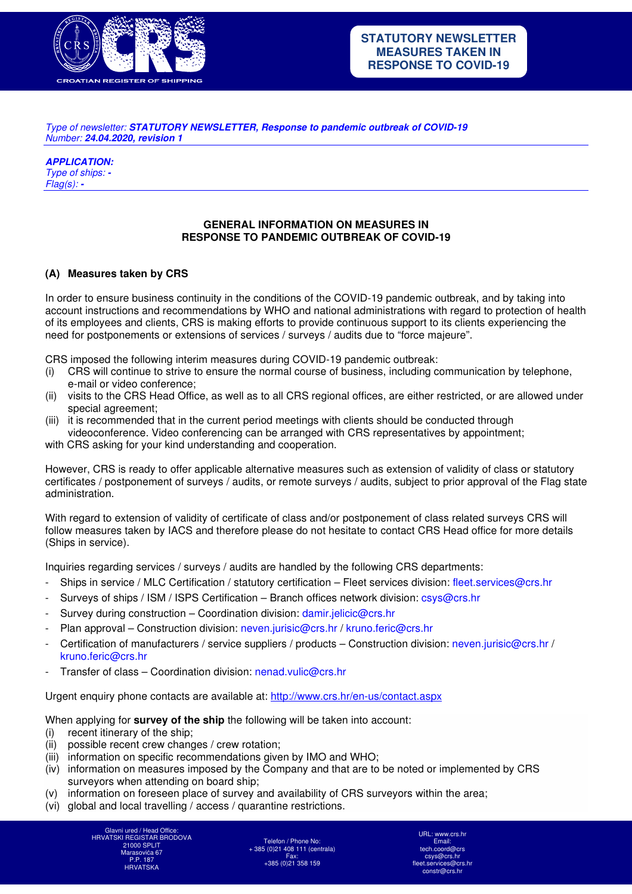

Type of newsletter: *STATUTORY NEWSLETTER, Response to pandemic outbreak of COVID-19* Number: *24.04.2020, revision 1* 

*APPLICATION:*  Type of ships: *-* Flag(s): *-*

### **GENERAL INFORMATION ON MEASURES IN RESPONSE TO PANDEMIC OUTBREAK OF COVID-19**

#### **(A) Measures taken by CRS**

In order to ensure business continuity in the conditions of the COVID-19 pandemic outbreak, and by taking into account instructions and recommendations by WHO and national administrations with regard to protection of health of its employees and clients, CRS is making efforts to provide continuous support to its clients experiencing the need for postponements or extensions of services / surveys / audits due to "force majeure".

CRS imposed the following interim measures during COVID-19 pandemic outbreak:

- (i) CRS will continue to strive to ensure the normal course of business, including communication by telephone, e-mail or video conference;
- (ii) visits to the CRS Head Office, as well as to all CRS regional offices, are either restricted, or are allowed under special agreement;
- (iii) it is recommended that in the current period meetings with clients should be conducted through videoconference. Video conferencing can be arranged with CRS representatives by appointment;

with CRS asking for your kind understanding and cooperation.

However, CRS is ready to offer applicable alternative measures such as extension of validity of class or statutory certificates / postponement of surveys / audits, or remote surveys / audits, subject to prior approval of the Flag state administration.

With regard to extension of validity of certificate of class and/or postponement of class related surveys CRS will follow measures taken by IACS and therefore please do not hesitate to contact CRS Head office for more details (Ships in service).

Inquiries regarding services / surveys / audits are handled by the following CRS departments:

- Ships in service / MLC Certification / statutory certification Fleet services division: fleet.services@crs.hr
- Surveys of ships / ISM / ISPS Certification Branch offices network division: csys@crs.hr
- Survey during construction Coordination division: damir.jelicic@crs.hr
- Plan approval Construction division: neven.jurisic@crs.hr / kruno.feric@crs.hr
- Certification of manufacturers / service suppliers / products Construction division: neven.jurisic@crs.hr / kruno.feric@crs.hr
- Transfer of class Coordination division: nenad.vulic@crs.hr

Urgent enquiry phone contacts are available at: http://www.crs.hr/en-us/contact.aspx

When applying for **survey of the ship** the following will be taken into account:

- (i) recent itinerary of the ship;
- (ii) possible recent crew changes / crew rotation;
- (iii) information on specific recommendations given by IMO and WHO;
- (iv) information on measures imposed by the Company and that are to be noted or implemented by CRS surveyors when attending on board ship;
- (v) information on foreseen place of survey and availability of CRS surveyors within the area;
- (vi) global and local travelling / access / quarantine restrictions.

Glavni ured / Head Office: HRVATSKI REGISTAR BRODOVA 21000 SPLIT Marasovića 67 P.P. 187 HRVATSKA

Telefon / Phone No: + 385 (0)21 408 111 (centrala) Fax: +385 (0)21 358 159

URL: www.crs.hr Email: tech.coord@crs csys@crs.hr fleet.services@crs.hr constr@crs.hr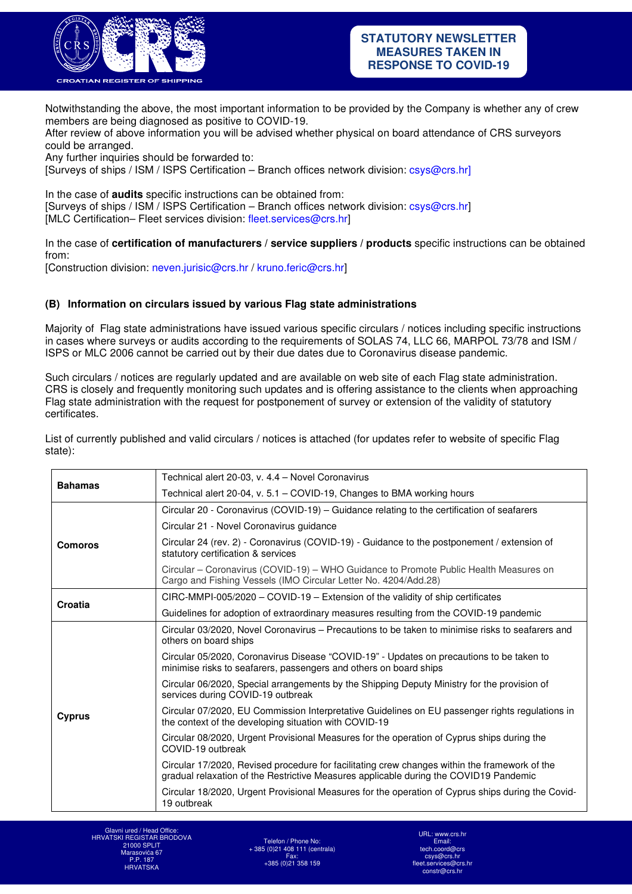

Notwithstanding the above, the most important information to be provided by the Company is whether any of crew members are being diagnosed as positive to COVID-19.

After review of above information you will be advised whether physical on board attendance of CRS surveyors could be arranged.

Any further inquiries should be forwarded to:

[Surveys of ships / ISM / ISPS Certification – Branch offices network division: csys@crs.hr]

In the case of **audits** specific instructions can be obtained from: [Surveys of ships / ISM / ISPS Certification – Branch offices network division: csys@crs.hr] [MLC Certification– Fleet services division: fleet.services@crs.hr]

In the case of **certification of manufacturers / service suppliers / products** specific instructions can be obtained from:

[Construction division: neven.jurisic@crs.hr / kruno.feric@crs.hr]

#### **(B) Information on circulars issued by various Flag state administrations**

Majority of Flag state administrations have issued various specific circulars / notices including specific instructions in cases where surveys or audits according to the requirements of SOLAS 74, LLC 66, MARPOL 73/78 and ISM / ISPS or MLC 2006 cannot be carried out by their due dates due to Coronavirus disease pandemic.

Such circulars / notices are regularly updated and are available on web site of each Flag state administration. CRS is closely and frequently monitoring such updates and is offering assistance to the clients when approaching Flag state administration with the request for postponement of survey or extension of the validity of statutory certificates.

List of currently published and valid circulars / notices is attached (for updates refer to website of specific Flag state):

| <b>Bahamas</b> | Technical alert 20-03, v. 4.4 - Novel Coronavirus                                                                                                                                      |
|----------------|----------------------------------------------------------------------------------------------------------------------------------------------------------------------------------------|
|                | Technical alert 20-04, v. 5.1 – COVID-19, Changes to BMA working hours                                                                                                                 |
| Comoros        | Circular 20 - Coronavirus (COVID-19) – Guidance relating to the certification of seafarers                                                                                             |
|                | Circular 21 - Novel Coronavirus guidance                                                                                                                                               |
|                | Circular 24 (rev. 2) - Coronavirus (COVID-19) - Guidance to the postponement / extension of<br>statutory certification & services                                                      |
|                | Circular - Coronavirus (COVID-19) - WHO Guidance to Promote Public Health Measures on<br>Cargo and Fishing Vessels (IMO Circular Letter No. 4204/Add.28)                               |
| Croatia        | $CIRC-MMPI-005/2020 - COVID-19 - Extension of the validity of ship certificates$                                                                                                       |
|                | Guidelines for adoption of extraordinary measures resulting from the COVID-19 pandemic                                                                                                 |
| Cyprus         | Circular 03/2020, Novel Coronavirus – Precautions to be taken to minimise risks to seafarers and<br>others on board ships                                                              |
|                | Circular 05/2020, Coronavirus Disease "COVID-19" - Updates on precautions to be taken to<br>minimise risks to seafarers, passengers and others on board ships                          |
|                | Circular 06/2020, Special arrangements by the Shipping Deputy Ministry for the provision of<br>services during COVID-19 outbreak                                                       |
|                | Circular 07/2020, EU Commission Interpretative Guidelines on EU passenger rights regulations in<br>the context of the developing situation with COVID-19                               |
|                | Circular 08/2020, Urgent Provisional Measures for the operation of Cyprus ships during the<br>COVID-19 outbreak                                                                        |
|                | Circular 17/2020, Revised procedure for facilitating crew changes within the framework of the<br>gradual relaxation of the Restrictive Measures applicable during the COVID19 Pandemic |
|                | Circular 18/2020, Urgent Provisional Measures for the operation of Cyprus ships during the Covid-<br>19 outbreak                                                                       |

Glavni ured / Head Office: HRVATSKI REGISTAR BRODOVA 21000 SPLIT Marasovića 67 P.P. 187 HRVATSKA

Telefon / Phone No: + 385 (0)21 408 111 (centrala) Fax: +385 (0)21 358 159

URL: www.crs.hr Email: tech.coord@crs csys@crs.hr fleet.services@crs.hr constr@crs.hr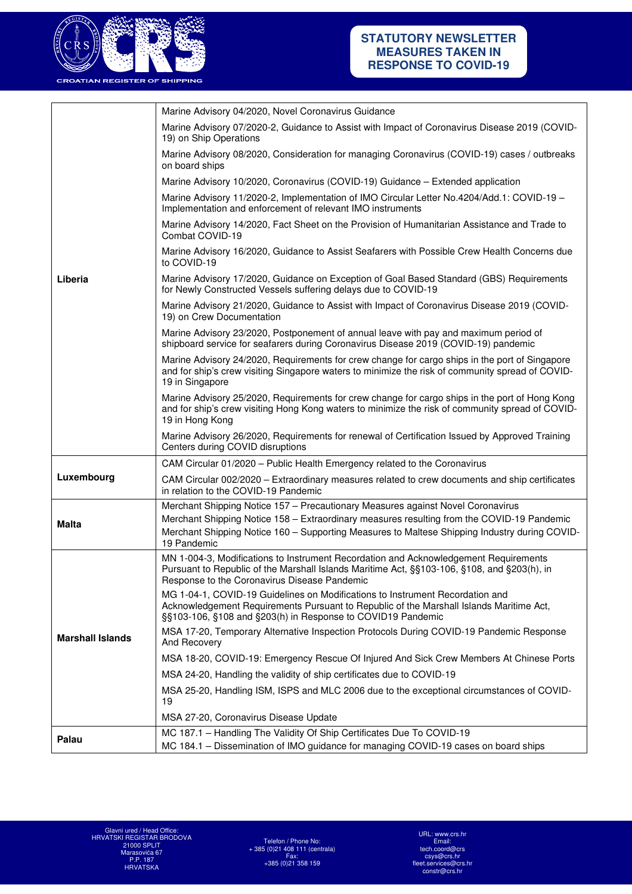

|                         | Marine Advisory 04/2020, Novel Coronavirus Guidance                                                                                                                                                                                     |
|-------------------------|-----------------------------------------------------------------------------------------------------------------------------------------------------------------------------------------------------------------------------------------|
|                         | Marine Advisory 07/2020-2, Guidance to Assist with Impact of Coronavirus Disease 2019 (COVID-<br>19) on Ship Operations                                                                                                                 |
|                         | Marine Advisory 08/2020, Consideration for managing Coronavirus (COVID-19) cases / outbreaks<br>on board ships                                                                                                                          |
|                         | Marine Advisory 10/2020, Coronavirus (COVID-19) Guidance - Extended application                                                                                                                                                         |
|                         | Marine Advisory 11/2020-2, Implementation of IMO Circular Letter No.4204/Add.1: COVID-19 -<br>Implementation and enforcement of relevant IMO instruments                                                                                |
|                         | Marine Advisory 14/2020, Fact Sheet on the Provision of Humanitarian Assistance and Trade to<br>Combat COVID-19                                                                                                                         |
|                         | Marine Advisory 16/2020, Guidance to Assist Seafarers with Possible Crew Health Concerns due<br>to COVID-19                                                                                                                             |
| Liberia                 | Marine Advisory 17/2020, Guidance on Exception of Goal Based Standard (GBS) Requirements<br>for Newly Constructed Vessels suffering delays due to COVID-19                                                                              |
|                         | Marine Advisory 21/2020, Guidance to Assist with Impact of Coronavirus Disease 2019 (COVID-<br>19) on Crew Documentation                                                                                                                |
|                         | Marine Advisory 23/2020, Postponement of annual leave with pay and maximum period of<br>shipboard service for seafarers during Coronavirus Disease 2019 (COVID-19) pandemic                                                             |
|                         | Marine Advisory 24/2020, Requirements for crew change for cargo ships in the port of Singapore<br>and for ship's crew visiting Singapore waters to minimize the risk of community spread of COVID-<br>19 in Singapore                   |
|                         | Marine Advisory 25/2020, Requirements for crew change for cargo ships in the port of Hong Kong<br>and for ship's crew visiting Hong Kong waters to minimize the risk of community spread of COVID-<br>19 in Hong Kong                   |
|                         | Marine Advisory 26/2020, Requirements for renewal of Certification Issued by Approved Training<br>Centers during COVID disruptions                                                                                                      |
|                         | CAM Circular 01/2020 - Public Health Emergency related to the Coronavirus                                                                                                                                                               |
| Luxembourg              | CAM Circular 002/2020 - Extraordinary measures related to crew documents and ship certificates<br>in relation to the COVID-19 Pandemic                                                                                                  |
|                         | Merchant Shipping Notice 157 - Precautionary Measures against Novel Coronavirus                                                                                                                                                         |
| <b>Malta</b>            | Merchant Shipping Notice 158 - Extraordinary measures resulting from the COVID-19 Pandemic<br>Merchant Shipping Notice 160 - Supporting Measures to Maltese Shipping Industry during COVID-<br>19 Pandemic                              |
|                         | MN 1-004-3, Modifications to Instrument Recordation and Acknowledgement Requirements<br>Pursuant to Republic of the Marshall Islands Maritime Act, §§103-106, §108, and §203(h), in<br>Response to the Coronavirus Disease Pandemic     |
| <b>Marshall Islands</b> | MG 1-04-1, COVID-19 Guidelines on Modifications to Instrument Recordation and<br>Acknowledgement Requirements Pursuant to Republic of the Marshall Islands Maritime Act,<br>§§103-106, §108 and §203(h) in Response to COVID19 Pandemic |
|                         | MSA 17-20, Temporary Alternative Inspection Protocols During COVID-19 Pandemic Response<br>And Recovery                                                                                                                                 |
|                         | MSA 18-20, COVID-19: Emergency Rescue Of Injured And Sick Crew Members At Chinese Ports                                                                                                                                                 |
|                         | MSA 24-20, Handling the validity of ship certificates due to COVID-19                                                                                                                                                                   |
|                         | MSA 25-20, Handling ISM, ISPS and MLC 2006 due to the exceptional circumstances of COVID-<br>19                                                                                                                                         |
|                         | MSA 27-20, Coronavirus Disease Update                                                                                                                                                                                                   |
| Palau                   | MC 187.1 - Handling The Validity Of Ship Certificates Due To COVID-19                                                                                                                                                                   |
|                         | MC 184.1 - Dissemination of IMO guidance for managing COVID-19 cases on board ships                                                                                                                                                     |